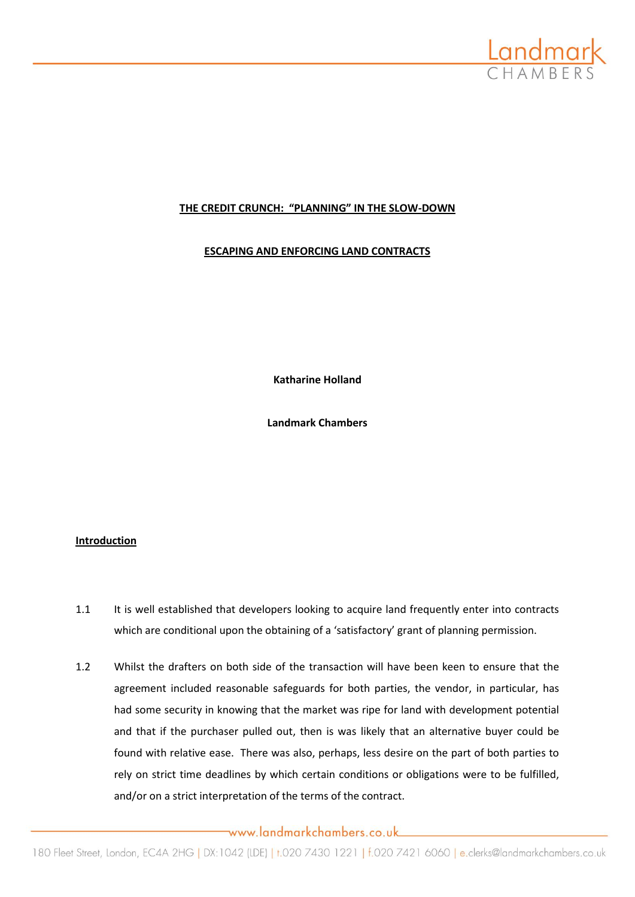

## **THE CREDIT CRUNCH: "PLANNING" IN THE SLOW-DOWN**

## **ESCAPING AND ENFORCING LAND CONTRACTS**

**Katharine Holland**

**Landmark Chambers**

## **Introduction**

- 1.1 It is well established that developers looking to acquire land frequently enter into contracts which are conditional upon the obtaining of a 'satisfactory' grant of planning permission.
- 1.2 Whilst the drafters on both side of the transaction will have been keen to ensure that the agreement included reasonable safeguards for both parties, the vendor, in particular, has had some security in knowing that the market was ripe for land with development potential and that if the purchaser pulled out, then is was likely that an alternative buyer could be found with relative ease. There was also, perhaps, less desire on the part of both parties to rely on strict time deadlines by which certain conditions or obligations were to be fulfilled, and/or on a strict interpretation of the terms of the contract.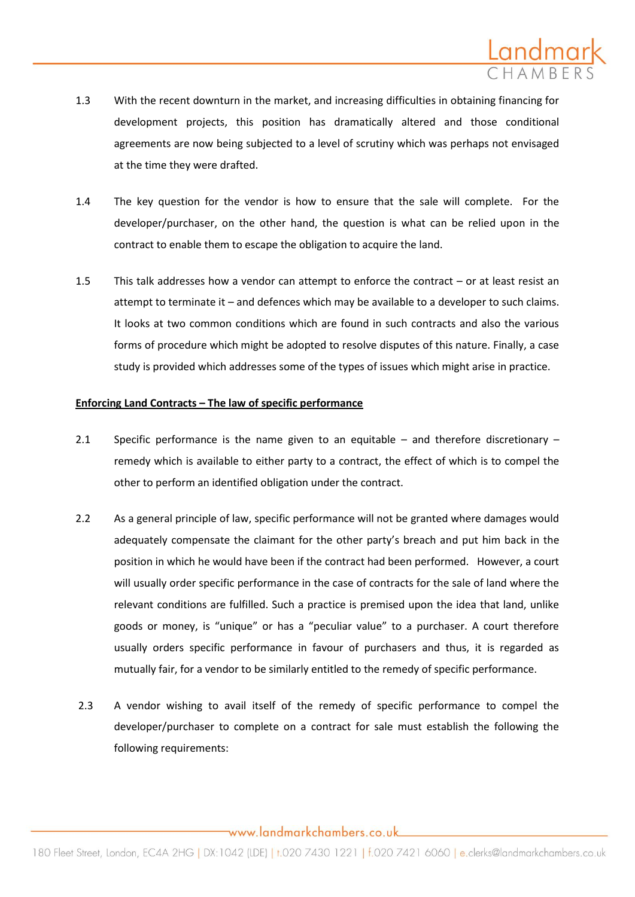

- 1.3 With the recent downturn in the market, and increasing difficulties in obtaining financing for development projects, this position has dramatically altered and those conditional agreements are now being subjected to a level of scrutiny which was perhaps not envisaged at the time they were drafted.
- 1.4 The key question for the vendor is how to ensure that the sale will complete. For the developer/purchaser, on the other hand, the question is what can be relied upon in the contract to enable them to escape the obligation to acquire the land.
- 1.5 This talk addresses how a vendor can attempt to enforce the contract or at least resist an attempt to terminate it – and defences which may be available to a developer to such claims. It looks at two common conditions which are found in such contracts and also the various forms of procedure which might be adopted to resolve disputes of this nature. Finally, a case study is provided which addresses some of the types of issues which might arise in practice.

#### **Enforcing Land Contracts – The law of specific performance**

- 2.1 Specific performance is the name given to an equitable and therefore discretionary remedy which is available to either party to a contract, the effect of which is to compel the other to perform an identified obligation under the contract.
- 2.2 As a general principle of law, specific performance will not be granted where damages would adequately compensate the claimant for the other party's breach and put him back in the position in which he would have been if the contract had been performed. However, a court will usually order specific performance in the case of contracts for the sale of land where the relevant conditions are fulfilled. Such a practice is premised upon the idea that land, unlike goods or money, is "unique" or has a "peculiar value" to a purchaser. A court therefore usually orders specific performance in favour of purchasers and thus, it is regarded as mutually fair, for a vendor to be similarly entitled to the remedy of specific performance.
- 2.3 A vendor wishing to avail itself of the remedy of specific performance to compel the developer/purchaser to complete on a contract for sale must establish the following the following requirements: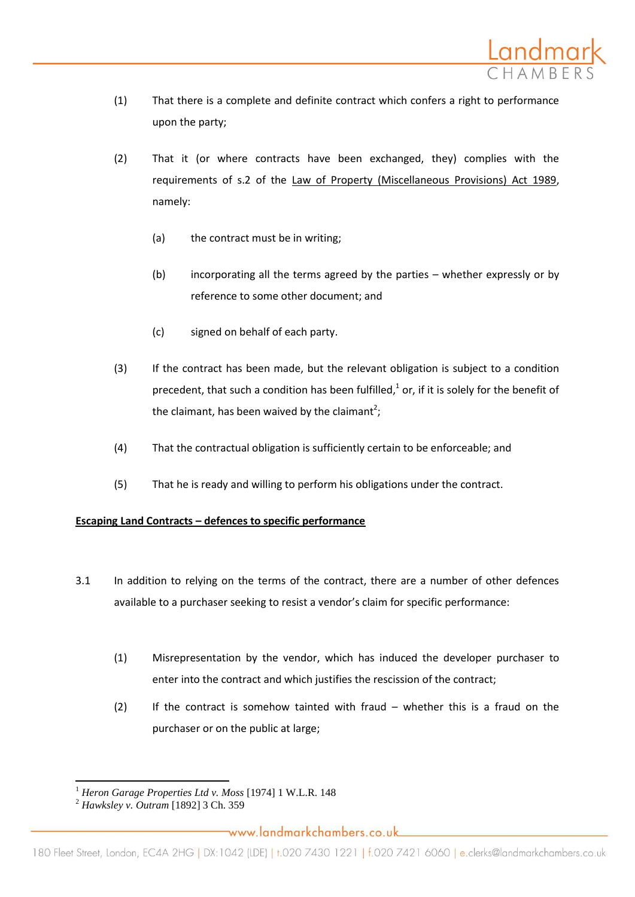

- (1) That there is a complete and definite contract which confers a right to performance upon the party;
- (2) That it (or where contracts have been exchanged, they) complies with the requirements of s.2 of the Law of Property (Miscellaneous Provisions) Act 1989, namely:
	- (a) the contract must be in writing;
	- (b) incorporating all the terms agreed by the parties whether expressly or by reference to some other document; and
	- (c) signed on behalf of each party.
- (3) If the contract has been made, but the relevant obligation is subject to a condition precedent, that such a condition has been fulfilled, $<sup>1</sup>$  or, if it is solely for the benefit of</sup> the claimant, has been waived by the claimant<sup>2</sup>;
- (4) That the contractual obligation is sufficiently certain to be enforceable; and
- (5) That he is ready and willing to perform his obligations under the contract.

## **Escaping Land Contracts – defences to specific performance**

- 3.1 In addition to relying on the terms of the contract, there are a number of other defences available to a purchaser seeking to resist a vendor's claim for specific performance:
	- (1) Misrepresentation by the vendor, which has induced the developer purchaser to enter into the contract and which justifies the rescission of the contract;
	- (2) If the contract is somehow tainted with fraud whether this is a fraud on the purchaser or on the public at large;

l <sup>1</sup> *Heron Garage Properties Ltd v. Moss* [1974] 1 W.L.R. 148

<sup>2</sup> *Hawksley v. Outram* [1892] 3 Ch. 359

www.landmarkchambers.co.uk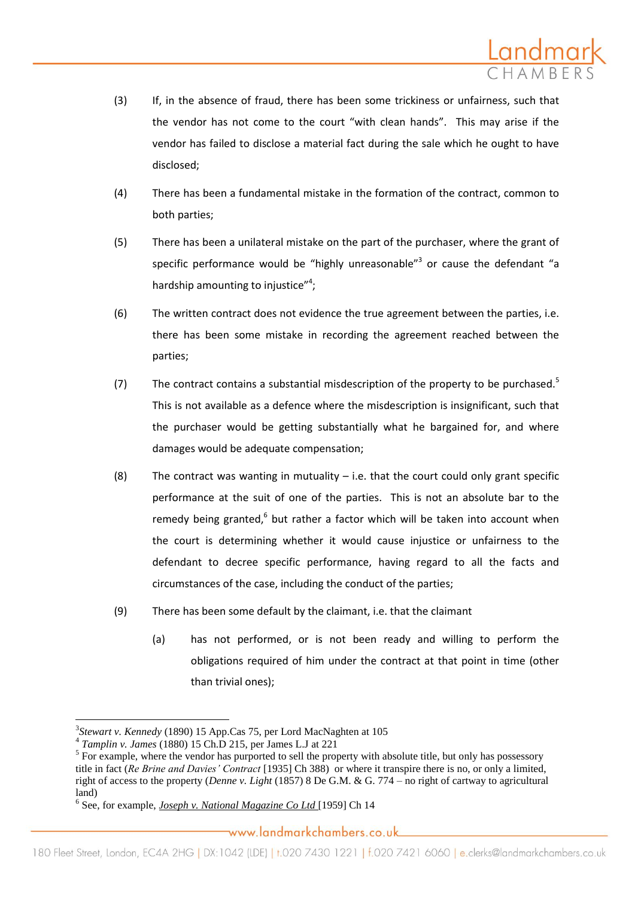

- (3) If, in the absence of fraud, there has been some trickiness or unfairness, such that the vendor has not come to the court "with clean hands". This may arise if the vendor has failed to disclose a material fact during the sale which he ought to have disclosed;
- (4) There has been a fundamental mistake in the formation of the contract, common to both parties;
- (5) There has been a unilateral mistake on the part of the purchaser, where the grant of specific performance would be "highly unreasonable" $3$  or cause the defendant "a hardship amounting to injustice"<sup>4</sup>;
- (6) The written contract does not evidence the true agreement between the parties, i.e. there has been some mistake in recording the agreement reached between the parties;
- (7) The contract contains a substantial misdescription of the property to be purchased.<sup>5</sup> This is not available as a defence where the misdescription is insignificant, such that the purchaser would be getting substantially what he bargained for, and where damages would be adequate compensation;
- (8) The contract was wanting in mutuality  $-$  i.e. that the court could only grant specific performance at the suit of one of the parties. This is not an absolute bar to the remedy being granted,<sup>6</sup> but rather a factor which will be taken into account when the court is determining whether it would cause injustice or unfairness to the defendant to decree specific performance, having regard to all the facts and circumstances of the case, including the conduct of the parties;
- (9) There has been some default by the claimant, i.e. that the claimant
	- (a) has not performed, or is not been ready and willing to perform the obligations required of him under the contract at that point in time (other than trivial ones);

 $\overline{a}$ 

<sup>3</sup> *Stewart v. Kennedy* (1890) 15 App.Cas 75, per Lord MacNaghten at 105

<sup>4</sup> *Tamplin v. James* (1880) 15 Ch.D 215, per James L.J at 221

 $<sup>5</sup>$  For example, where the vendor has purported to sell the property with absolute title, but only has possessory</sup> title in fact (*Re Brine and Davies' Contract* [1935] Ch 388) or where it transpire there is no, or only a limited, right of access to the property (*Denne v. Light* (1857) 8 De G.M. & G. 774 – no right of cartway to agricultural land)

<sup>6</sup> See, for example, *Joseph v. National Magazine Co Ltd* [1959] Ch 14

www.landmarkchambers.co.uk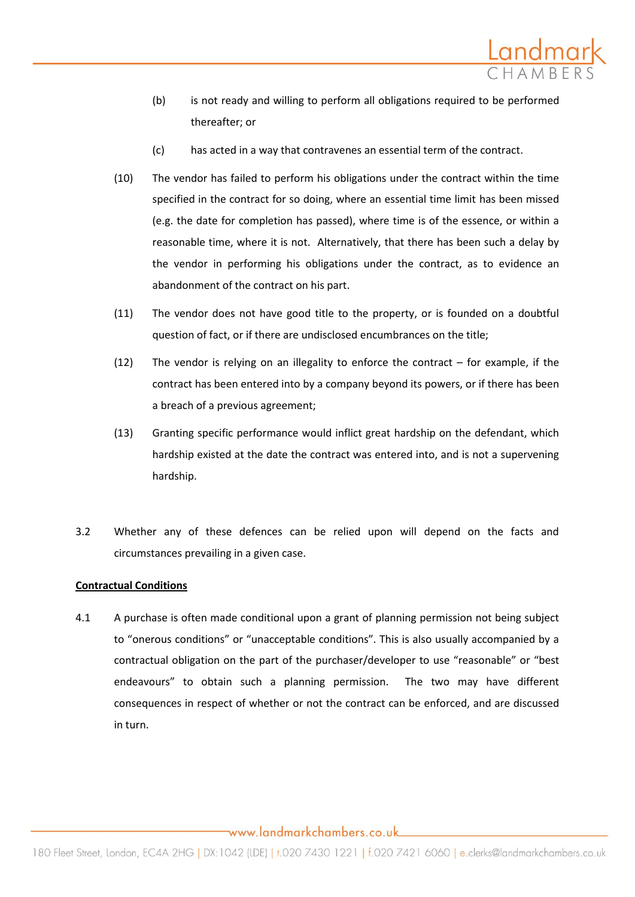

- (b) is not ready and willing to perform all obligations required to be performed thereafter; or
- (c) has acted in a way that contravenes an essential term of the contract.
- (10) The vendor has failed to perform his obligations under the contract within the time specified in the contract for so doing, where an essential time limit has been missed (e.g. the date for completion has passed), where time is of the essence, or within a reasonable time, where it is not. Alternatively, that there has been such a delay by the vendor in performing his obligations under the contract, as to evidence an abandonment of the contract on his part.
- (11) The vendor does not have good title to the property, or is founded on a doubtful question of fact, or if there are undisclosed encumbrances on the title;
- (12) The vendor is relying on an illegality to enforce the contract for example, if the contract has been entered into by a company beyond its powers, or if there has been a breach of a previous agreement;
- (13) Granting specific performance would inflict great hardship on the defendant, which hardship existed at the date the contract was entered into, and is not a supervening hardship.
- 3.2 Whether any of these defences can be relied upon will depend on the facts and circumstances prevailing in a given case.

## **Contractual Conditions**

4.1 A purchase is often made conditional upon a grant of planning permission not being subject to "onerous conditions" or "unacceptable conditions". This is also usually accompanied by a contractual obligation on the part of the purchaser/developer to use "reasonable" or "best endeavours" to obtain such a planning permission. The two may have different consequences in respect of whether or not the contract can be enforced, and are discussed in turn.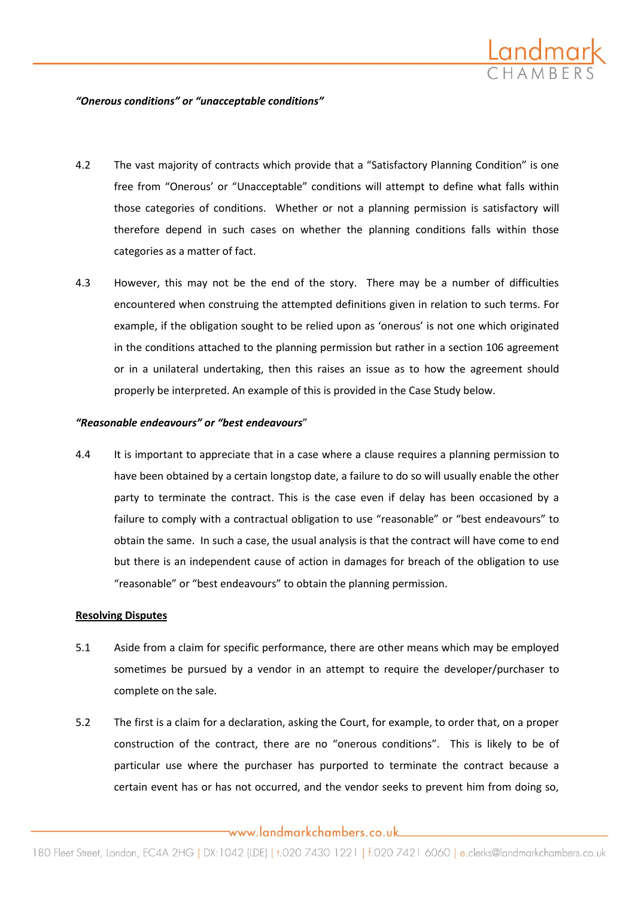

#### *"Onerous conditions" or "unacceptable conditions"*

- 4.2 The vast majority of contracts which provide that a "Satisfactory Planning Condition" is one free from "Onerous' or "Unacceptable" conditions will attempt to define what falls within those categories of conditions. Whether or not a planning permission is satisfactory will therefore depend in such cases on whether the planning conditions falls within those categories as a matter of fact.
- 4.3 However, this may not be the end of the story. There may be a number of difficulties encountered when construing the attempted definitions given in relation to such terms. For example, if the obligation sought to be relied upon as 'onerous' is not one which originated in the conditions attached to the planning permission but rather in a section 106 agreement or in a unilateral undertaking, then this raises an issue as to how the agreement should properly be interpreted. An example of this is provided in the Case Study below.

#### *"Reasonable endeavours" or "best endeavours*"

4.4 It is important to appreciate that in a case where a clause requires a planning permission to have been obtained by a certain longstop date, a failure to do so will usually enable the other party to terminate the contract. This is the case even if delay has been occasioned by a failure to comply with a contractual obligation to use "reasonable" or "best endeavours" to obtain the same. In such a case, the usual analysis is that the contract will have come to end but there is an independent cause of action in damages for breach of the obligation to use "reasonable" or "best endeavours" to obtain the planning permission.

### **Resolving Disputes**

- 5.1 Aside from a claim for specific performance, there are other means which may be employed sometimes be pursued by a vendor in an attempt to require the developer/purchaser to complete on the sale.
- 5.2 The first is a claim for a declaration, asking the Court, for example, to order that, on a proper construction of the contract, there are no "onerous conditions". This is likely to be of particular use where the purchaser has purported to terminate the contract because a certain event has or has not occurred, and the vendor seeks to prevent him from doing so,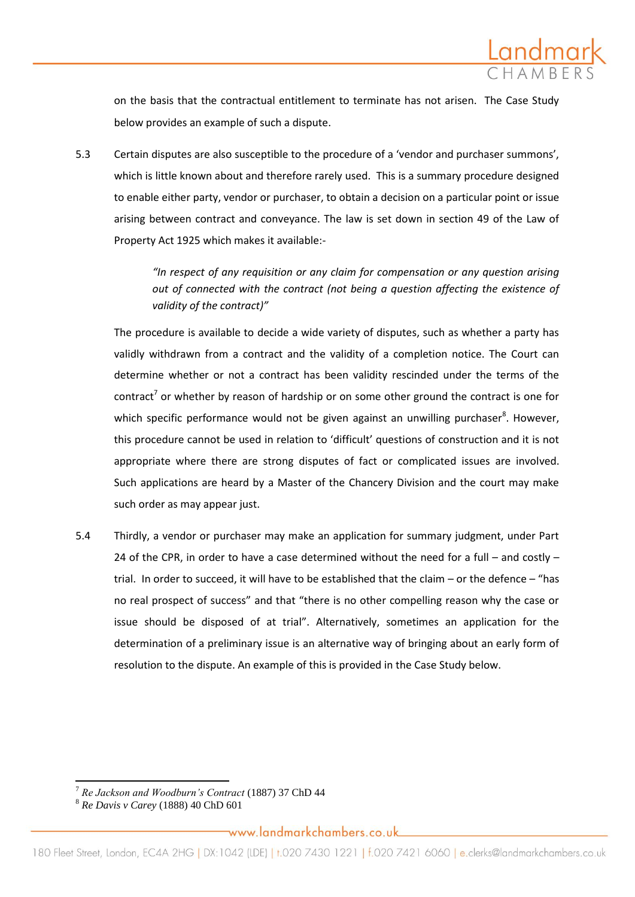

on the basis that the contractual entitlement to terminate has not arisen. The Case Study below provides an example of such a dispute.

5.3 Certain disputes are also susceptible to the procedure of a 'vendor and purchaser summons', which is little known about and therefore rarely used. This is a summary procedure designed to enable either party, vendor or purchaser, to obtain a decision on a particular point or issue arising between contract and conveyance. The law is set down in section 49 of the Law of Property Act 1925 which makes it available:-

> *"In respect of any requisition or any claim for compensation or any question arising out of connected with the contract (not being a question affecting the existence of validity of the contract)"*

The procedure is available to decide a wide variety of disputes, such as whether a party has validly withdrawn from a contract and the validity of a completion notice. The Court can determine whether or not a contract has been validity rescinded under the terms of the contract<sup>7</sup> or whether by reason of hardship or on some other ground the contract is one for which specific performance would not be given against an unwilling purchaser<sup>8</sup>. However, this procedure cannot be used in relation to 'difficult' questions of construction and it is not appropriate where there are strong disputes of fact or complicated issues are involved. Such applications are heard by a Master of the Chancery Division and the court may make such order as may appear just.

5.4 Thirdly, a vendor or purchaser may make an application for summary judgment, under Part 24 of the CPR, in order to have a case determined without the need for a full – and costly – trial. In order to succeed, it will have to be established that the claim – or the defence – "has no real prospect of success" and that "there is no other compelling reason why the case or issue should be disposed of at trial". Alternatively, sometimes an application for the determination of a preliminary issue is an alternative way of bringing about an early form of resolution to the dispute. An example of this is provided in the Case Study below.

l

<sup>7</sup> *Re Jackson and Woodburn's Contract* (1887) 37 ChD 44

<sup>8</sup> *Re Davis v Carey* (1888) 40 ChD 601

www.landmarkchambers.co.uk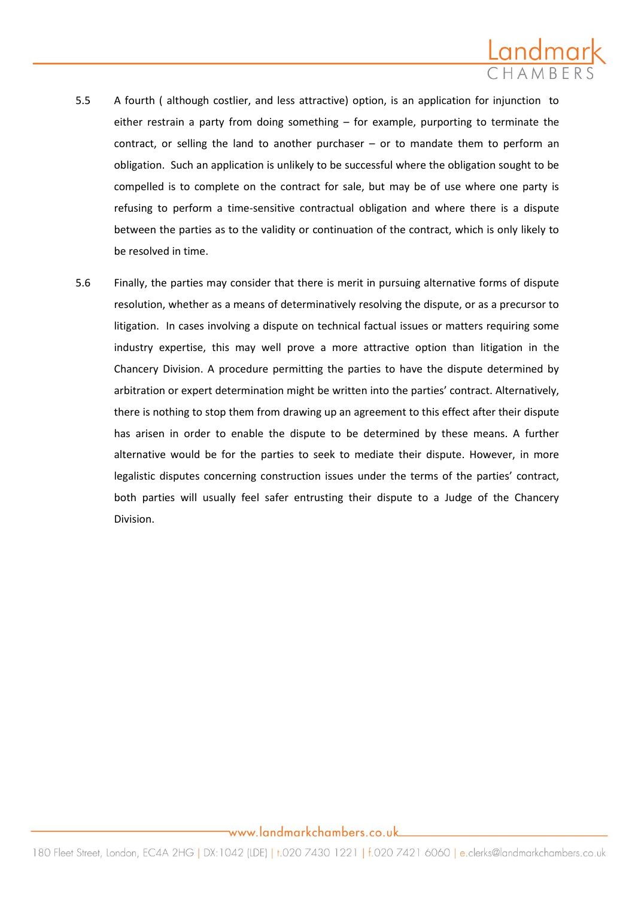

- 5.5 A fourth ( although costlier, and less attractive) option, is an application for injunction to either restrain a party from doing something – for example, purporting to terminate the contract, or selling the land to another purchaser – or to mandate them to perform an obligation. Such an application is unlikely to be successful where the obligation sought to be compelled is to complete on the contract for sale, but may be of use where one party is refusing to perform a time-sensitive contractual obligation and where there is a dispute between the parties as to the validity or continuation of the contract, which is only likely to be resolved in time.
- 5.6 Finally, the parties may consider that there is merit in pursuing alternative forms of dispute resolution, whether as a means of determinatively resolving the dispute, or as a precursor to litigation. In cases involving a dispute on technical factual issues or matters requiring some industry expertise, this may well prove a more attractive option than litigation in the Chancery Division. A procedure permitting the parties to have the dispute determined by arbitration or expert determination might be written into the parties' contract. Alternatively, there is nothing to stop them from drawing up an agreement to this effect after their dispute has arisen in order to enable the dispute to be determined by these means. A further alternative would be for the parties to seek to mediate their dispute. However, in more legalistic disputes concerning construction issues under the terms of the parties' contract, both parties will usually feel safer entrusting their dispute to a Judge of the Chancery Division.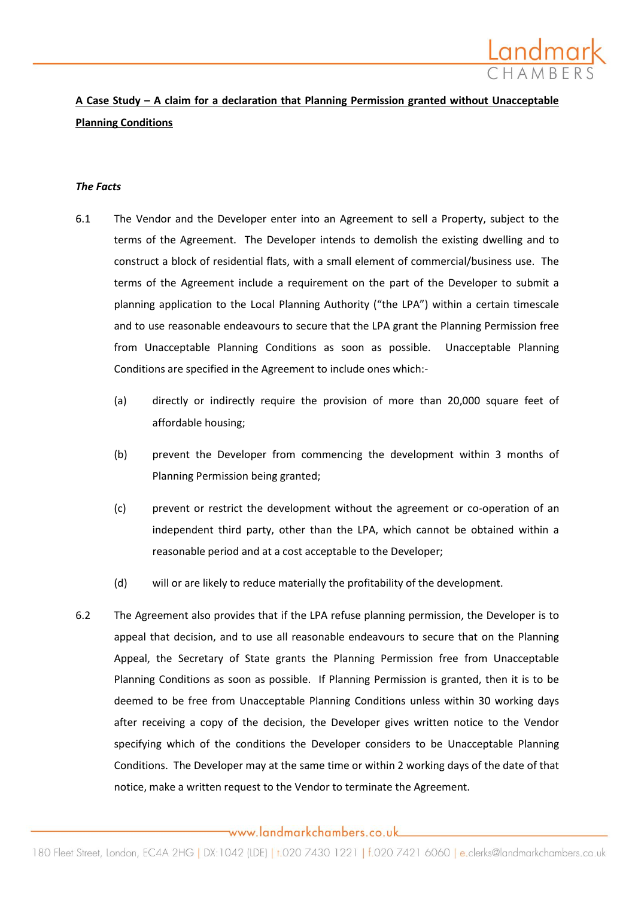

# **A Case Study – A claim for a declaration that Planning Permission granted without Unacceptable Planning Conditions**

#### *The Facts*

- 6.1 The Vendor and the Developer enter into an Agreement to sell a Property, subject to the terms of the Agreement. The Developer intends to demolish the existing dwelling and to construct a block of residential flats, with a small element of commercial/business use. The terms of the Agreement include a requirement on the part of the Developer to submit a planning application to the Local Planning Authority ("the LPA") within a certain timescale and to use reasonable endeavours to secure that the LPA grant the Planning Permission free from Unacceptable Planning Conditions as soon as possible. Unacceptable Planning Conditions are specified in the Agreement to include ones which:-
	- (a) directly or indirectly require the provision of more than 20,000 square feet of affordable housing;
	- (b) prevent the Developer from commencing the development within 3 months of Planning Permission being granted;
	- (c) prevent or restrict the development without the agreement or co-operation of an independent third party, other than the LPA, which cannot be obtained within a reasonable period and at a cost acceptable to the Developer;
	- (d) will or are likely to reduce materially the profitability of the development.
- 6.2 The Agreement also provides that if the LPA refuse planning permission, the Developer is to appeal that decision, and to use all reasonable endeavours to secure that on the Planning Appeal, the Secretary of State grants the Planning Permission free from Unacceptable Planning Conditions as soon as possible. If Planning Permission is granted, then it is to be deemed to be free from Unacceptable Planning Conditions unless within 30 working days after receiving a copy of the decision, the Developer gives written notice to the Vendor specifying which of the conditions the Developer considers to be Unacceptable Planning Conditions. The Developer may at the same time or within 2 working days of the date of that notice, make a written request to the Vendor to terminate the Agreement.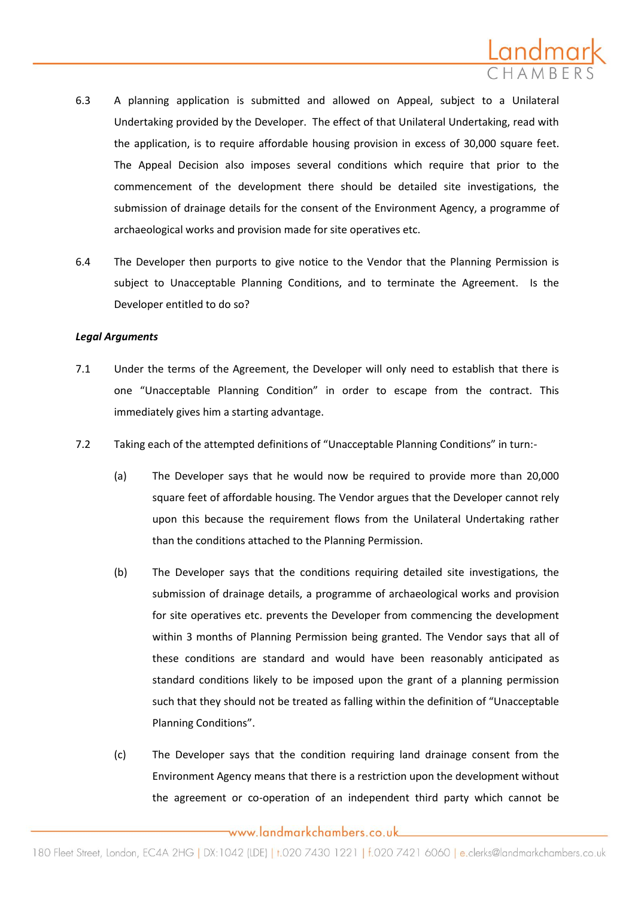

- 6.3 A planning application is submitted and allowed on Appeal, subject to a Unilateral Undertaking provided by the Developer. The effect of that Unilateral Undertaking, read with the application, is to require affordable housing provision in excess of 30,000 square feet. The Appeal Decision also imposes several conditions which require that prior to the commencement of the development there should be detailed site investigations, the submission of drainage details for the consent of the Environment Agency, a programme of archaeological works and provision made for site operatives etc.
- 6.4 The Developer then purports to give notice to the Vendor that the Planning Permission is subject to Unacceptable Planning Conditions, and to terminate the Agreement. Is the Developer entitled to do so?

#### *Legal Arguments*

- 7.1 Under the terms of the Agreement, the Developer will only need to establish that there is one "Unacceptable Planning Condition" in order to escape from the contract. This immediately gives him a starting advantage.
- 7.2 Taking each of the attempted definitions of "Unacceptable Planning Conditions" in turn:-
	- (a) The Developer says that he would now be required to provide more than 20,000 square feet of affordable housing. The Vendor argues that the Developer cannot rely upon this because the requirement flows from the Unilateral Undertaking rather than the conditions attached to the Planning Permission.
	- (b) The Developer says that the conditions requiring detailed site investigations, the submission of drainage details, a programme of archaeological works and provision for site operatives etc. prevents the Developer from commencing the development within 3 months of Planning Permission being granted. The Vendor says that all of these conditions are standard and would have been reasonably anticipated as standard conditions likely to be imposed upon the grant of a planning permission such that they should not be treated as falling within the definition of "Unacceptable Planning Conditions".
	- (c) The Developer says that the condition requiring land drainage consent from the Environment Agency means that there is a restriction upon the development without the agreement or co-operation of an independent third party which cannot be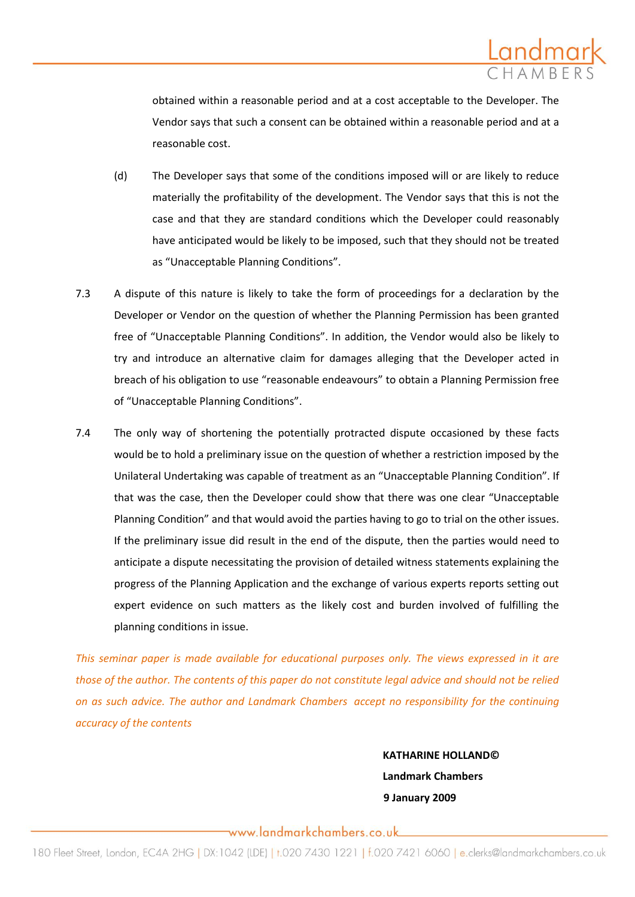

obtained within a reasonable period and at a cost acceptable to the Developer. The Vendor says that such a consent can be obtained within a reasonable period and at a reasonable cost.

- (d) The Developer says that some of the conditions imposed will or are likely to reduce materially the profitability of the development. The Vendor says that this is not the case and that they are standard conditions which the Developer could reasonably have anticipated would be likely to be imposed, such that they should not be treated as "Unacceptable Planning Conditions".
- 7.3 A dispute of this nature is likely to take the form of proceedings for a declaration by the Developer or Vendor on the question of whether the Planning Permission has been granted free of "Unacceptable Planning Conditions". In addition, the Vendor would also be likely to try and introduce an alternative claim for damages alleging that the Developer acted in breach of his obligation to use "reasonable endeavours" to obtain a Planning Permission free of "Unacceptable Planning Conditions".
- 7.4 The only way of shortening the potentially protracted dispute occasioned by these facts would be to hold a preliminary issue on the question of whether a restriction imposed by the Unilateral Undertaking was capable of treatment as an "Unacceptable Planning Condition". If that was the case, then the Developer could show that there was one clear "Unacceptable Planning Condition" and that would avoid the parties having to go to trial on the other issues. If the preliminary issue did result in the end of the dispute, then the parties would need to anticipate a dispute necessitating the provision of detailed witness statements explaining the progress of the Planning Application and the exchange of various experts reports setting out expert evidence on such matters as the likely cost and burden involved of fulfilling the planning conditions in issue.

*This seminar paper is made available for educational purposes only. The views expressed in it are those of the author. The contents of this paper do not constitute legal advice and should not be relied on as such advice. The author and Landmark Chambers accept no responsibility for the continuing accuracy of the contents*

> **KATHARINE HOLLAND© Landmark Chambers 9 January 2009**